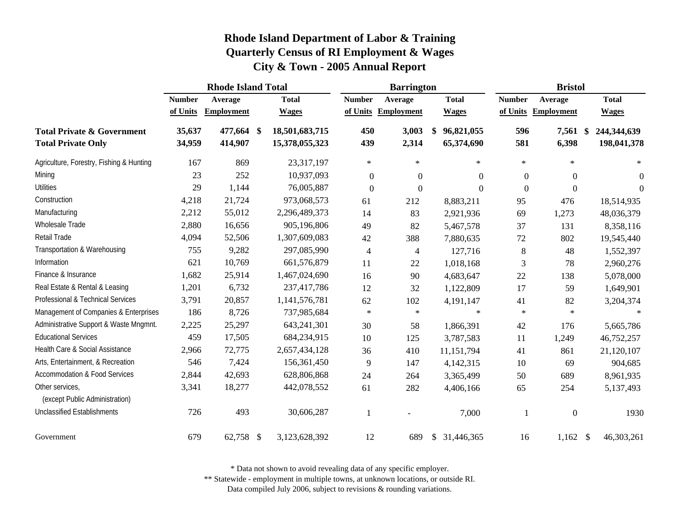|                                                                    | <b>Rhode Island Total</b> |                    |                   |                                  |                  | <b>Barrington</b> |    | <b>Bristol</b>           |                  |                   |    |                            |
|--------------------------------------------------------------------|---------------------------|--------------------|-------------------|----------------------------------|------------------|-------------------|----|--------------------------|------------------|-------------------|----|----------------------------|
|                                                                    | <b>Number</b>             | Average            |                   | <b>Total</b>                     | <b>Number</b>    | Average           |    | <b>Total</b>             | <b>Number</b>    | Average           |    | <b>Total</b>               |
|                                                                    | of Units                  | <b>Employment</b>  |                   | <b>Wages</b>                     | of Units         | <b>Employment</b> |    | <b>Wages</b>             | of Units         | <b>Employment</b> |    | <b>Wages</b>               |
| <b>Total Private &amp; Government</b><br><b>Total Private Only</b> | 35,637<br>34,959          | 477,664<br>414,907 | $\boldsymbol{\$}$ | 18,501,683,715<br>15,378,055,323 | 450<br>439       | 3,003<br>2,314    | \$ | 96,821,055<br>65,374,690 | 596<br>581       | 7,561<br>6,398    | \$ | 244,344,639<br>198,041,378 |
| Agriculture, Forestry, Fishing & Hunting                           | 167                       | 869                |                   | 23,317,197                       | $\ast$           | $\ast$            |    | $\star$                  | $\ast$           | $\ast$            |    | $\ast$                     |
| Mining                                                             | 23                        | 252                |                   | 10,937,093                       | $\boldsymbol{0}$ | $\overline{0}$    |    | $\Omega$                 | $\boldsymbol{0}$ | $\overline{0}$    |    | $\boldsymbol{0}$           |
| <b>Utilities</b>                                                   | 29                        | 1,144              |                   | 76,005,887                       | $\boldsymbol{0}$ | $\boldsymbol{0}$  |    | $\Omega$                 | $\boldsymbol{0}$ | $\mathbf{0}$      |    | $\theta$                   |
| Construction                                                       | 4,218                     | 21,724             |                   | 973,068,573                      | 61               | 212               |    | 8,883,211                | 95               | 476               |    | 18,514,935                 |
| Manufacturing                                                      | 2,212                     | 55,012             |                   | 2,296,489,373                    | 14               | 83                |    | 2,921,936                | 69               | 1,273             |    | 48,036,379                 |
| Wholesale Trade                                                    | 2,880                     | 16,656             |                   | 905,196,806                      | 49               | 82                |    | 5,467,578                | 37               | 131               |    | 8,358,116                  |
| Retail Trade                                                       | 4,094                     | 52,506             |                   | 1,307,609,083                    | 42               | 388               |    | 7,880,635                | 72               | 802               |    | 19,545,440                 |
| Transportation & Warehousing                                       | 755                       | 9,282              |                   | 297,085,990                      | $\overline{4}$   | $\overline{4}$    |    | 127,716                  | 8                | 48                |    | 1,552,397                  |
| Information                                                        | 621                       | 10,769             |                   | 661,576,879                      | 11               | $22\,$            |    | 1,018,168                | 3                | 78                |    | 2,960,276                  |
| Finance & Insurance                                                | 1,682                     | 25,914             |                   | 1,467,024,690                    | 16               | 90                |    | 4,683,647                | 22               | 138               |    | 5,078,000                  |
| Real Estate & Rental & Leasing                                     | 1,201                     | 6,732              |                   | 237,417,786                      | 12               | 32                |    | 1,122,809                | 17               | 59                |    | 1,649,901                  |
| Professional & Technical Services                                  | 3,791                     | 20,857             |                   | 1,141,576,781                    | 62               | 102               |    | 4,191,147                | 41               | 82                |    | 3,204,374                  |
| Management of Companies & Enterprises                              | 186                       | 8,726              |                   | 737,985,684                      | $\ast$           | $\ast$            |    | $\ast$                   | $\ast$           | $\ast$            |    |                            |
| Administrative Support & Waste Mngmnt.                             | 2,225                     | 25,297             |                   | 643,241,301                      | 30               | 58                |    | 1,866,391                | 42               | 176               |    | 5,665,786                  |
| <b>Educational Services</b>                                        | 459                       | 17,505             |                   | 684,234,915                      | 10               | 125               |    | 3,787,583                | 11               | 1,249             |    | 46,752,257                 |
| Health Care & Social Assistance                                    | 2,966                     | 72,775             |                   | 2,657,434,128                    | 36               | 410               |    | 11,151,794               | 41               | 861               |    | 21,120,107                 |
| Arts, Entertainment, & Recreation                                  | 546                       | 7,424              |                   | 156,361,450                      | 9                | 147               |    | 4,142,315                | 10               | 69                |    | 904,685                    |
| <b>Accommodation &amp; Food Services</b>                           | 2,844                     | 42,693             |                   | 628,806,868                      | 24               | 264               |    | 3,365,499                | 50               | 689               |    | 8,961,935                  |
| Other services,<br>(except Public Administration)                  | 3,341                     | 18,277             |                   | 442,078,552                      | 61               | 282               |    | 4,406,166                | 65               | 254               |    | 5,137,493                  |
| <b>Unclassified Establishments</b>                                 | 726                       | 493                |                   | 30,606,287                       | $\mathbf{1}$     |                   |    | 7,000                    |                  | $\boldsymbol{0}$  |    | 1930                       |
| Government                                                         | 679                       | 62,758 \$          |                   | 3,123,628,392                    | 12               | 689               | \$ | 31,446,365               | 16               | $1,162$ \$        |    | 46,303,261                 |

\* Data not shown to avoid revealing data of any specific employer.

\*\* Statewide - employment in multiple towns, at unknown locations, or outside RI.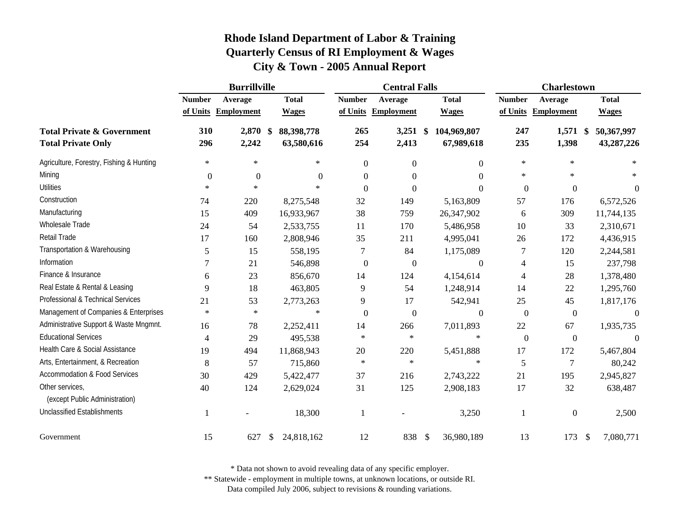|                                                                    |               | <b>Burrillville</b> |                          |                  | <b>Central Falls</b> |                                            | <b>Charlestown</b> |                     |                          |  |
|--------------------------------------------------------------------|---------------|---------------------|--------------------------|------------------|----------------------|--------------------------------------------|--------------------|---------------------|--------------------------|--|
|                                                                    | <b>Number</b> | Average             | <b>Total</b>             | <b>Number</b>    | Average              | <b>Total</b>                               | <b>Number</b>      | Average             | <b>Total</b>             |  |
|                                                                    |               | of Units Employment | <b>Wages</b>             |                  | of Units Employment  | <b>Wages</b>                               | of Units           | <b>Employment</b>   | <b>Wages</b>             |  |
| <b>Total Private &amp; Government</b><br><b>Total Private Only</b> | 310<br>296    | 2,870 \$<br>2,242   | 88,398,778<br>63,580,616 | 265<br>254       | 3,251<br>2,413       | 104,969,807<br>$\mathbf{\$}$<br>67,989,618 | 247<br>235         | $1,571$ \$<br>1,398 | 50,367,997<br>43,287,226 |  |
| Agriculture, Forestry, Fishing & Hunting                           | $\ast$        | $\ast$              | $\ast$                   | $\boldsymbol{0}$ | $\boldsymbol{0}$     | $\Omega$                                   | $\ast$             | $\ast$              |                          |  |
| Mining                                                             | $\Omega$      | $\overline{0}$      | $\theta$                 | $\boldsymbol{0}$ | $\Omega$             | $\Omega$                                   | $\ast$             | $\ast$              |                          |  |
| <b>Utilities</b>                                                   | $\ast$        | $\star$             | $\ast$                   | $\mathbf{0}$     | $\mathbf{0}$         | $\Omega$                                   | $\boldsymbol{0}$   | $\overline{0}$      | $\theta$                 |  |
| Construction                                                       | 74            | 220                 | 8,275,548                | 32               | 149                  | 5,163,809                                  | 57                 | 176                 | 6,572,526                |  |
| Manufacturing                                                      | 15            | 409                 | 16,933,967               | 38               | 759                  | 26,347,902                                 | 6                  | 309                 | 11,744,135               |  |
| Wholesale Trade                                                    | 24            | 54                  | 2,533,755                | 11               | 170                  | 5,486,958                                  | 10                 | 33                  | 2,310,671                |  |
| Retail Trade                                                       | 17            | 160                 | 2,808,946                | 35               | 211                  | 4,995,041                                  | 26                 | 172                 | 4,436,915                |  |
| Transportation & Warehousing                                       | 5             | 15                  | 558,195                  | $\tau$           | 84                   | 1,175,089                                  | 7                  | 120                 | 2,244,581                |  |
| Information                                                        |               | 21                  | 546,898                  | $\boldsymbol{0}$ | $\boldsymbol{0}$     | $\theta$                                   | $\overline{4}$     | 15                  | 237,798                  |  |
| Finance & Insurance                                                | 6             | 23                  | 856,670                  | 14               | 124                  | 4,154,614                                  | $\overline{4}$     | 28                  | 1,378,480                |  |
| Real Estate & Rental & Leasing                                     | 9             | 18                  | 463,805                  | 9                | 54                   | 1,248,914                                  | 14                 | 22                  | 1,295,760                |  |
| Professional & Technical Services                                  | 21            | 53                  | 2,773,263                | 9                | 17                   | 542,941                                    | 25                 | 45                  | 1,817,176                |  |
| Management of Companies & Enterprises                              | $\ast$        | $\ast$              | $\ast$                   | $\boldsymbol{0}$ | $\boldsymbol{0}$     | $\mathbf{0}$                               | $\boldsymbol{0}$   | $\boldsymbol{0}$    | $\boldsymbol{0}$         |  |
| Administrative Support & Waste Mngmnt.                             | 16            | 78                  | 2,252,411                | 14               | 266                  | 7,011,893                                  | $22\,$             | 67                  | 1,935,735                |  |
| <b>Educational Services</b>                                        | 4             | 29                  | 495,538                  | $\ast$           | $\ast$               | $\ast$                                     | $\boldsymbol{0}$   | $\boldsymbol{0}$    | $\theta$                 |  |
| Health Care & Social Assistance                                    | 19            | 494                 | 11,868,943               | 20               | 220                  | 5,451,888                                  | 17                 | 172                 | 5,467,804                |  |
| Arts, Entertainment, & Recreation                                  | 8             | 57                  | 715,860                  | $\ast$           | $\ast$               | $\ast$                                     | 5                  | $\tau$              | 80,242                   |  |
| <b>Accommodation &amp; Food Services</b>                           | 30            | 429                 | 5,422,477                | 37               | 216                  | 2,743,222                                  | 21                 | 195                 | 2,945,827                |  |
| Other services,<br>(except Public Administration)                  | 40            | 124                 | 2,629,024                | 31               | 125                  | 2,908,183                                  | 17                 | 32                  | 638,487                  |  |
| <b>Unclassified Establishments</b>                                 |               |                     | 18,300                   | 1                |                      | 3,250                                      | 1                  | $\boldsymbol{0}$    | 2,500                    |  |
| Government                                                         | 15            | 627                 | 24,818,162<br>S.         | 12               | 838                  | 36,980,189<br>$\mathcal{S}$                | 13                 | 173                 | 7,080,771<br>\$          |  |

\* Data not shown to avoid revealing data of any specific employer.

\*\* Statewide - employment in multiple towns, at unknown locations, or outside RI.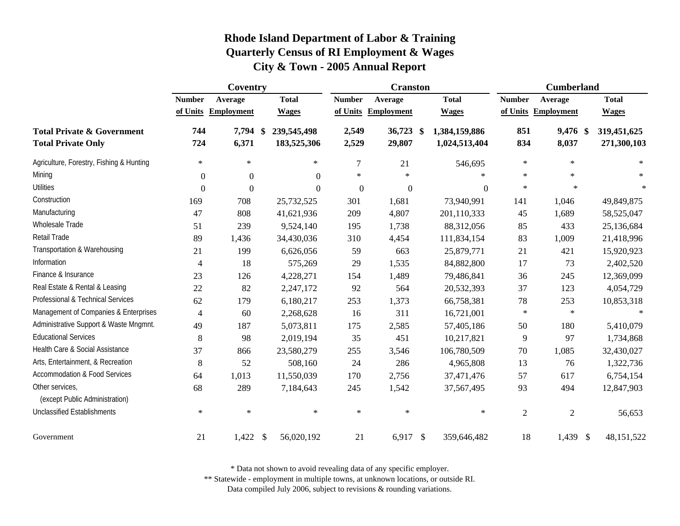|                                                                    |                  | Coventry          |                                    |                  | <b>Cranston</b>   |                                       | <b>Cumberland</b> |                     |                            |  |
|--------------------------------------------------------------------|------------------|-------------------|------------------------------------|------------------|-------------------|---------------------------------------|-------------------|---------------------|----------------------------|--|
|                                                                    | <b>Number</b>    | Average           | <b>Total</b>                       | <b>Number</b>    | Average           | <b>Total</b>                          | <b>Number</b>     | Average             | <b>Total</b>               |  |
|                                                                    | of Units         | <b>Employment</b> | <b>Wages</b>                       | of Units         | <b>Employment</b> | <b>Wages</b>                          |                   | of Units Employment | <b>Wages</b>               |  |
| <b>Total Private &amp; Government</b><br><b>Total Private Only</b> | 744<br>724       | 7,794<br>6,371    | 239,545,498<br>- \$<br>183,525,306 | 2,549<br>2,529   | 36,723<br>29,807  | -\$<br>1,384,159,886<br>1,024,513,404 | 851<br>834        | 9,476 \$<br>8,037   | 319,451,625<br>271,300,103 |  |
| Agriculture, Forestry, Fishing & Hunting                           | $\ast$           | $\ast$            | $\ast$                             | $\overline{7}$   | 21                | 546,695                               | $\ast$            | $\ast$              | $\star$                    |  |
| Mining                                                             | $\boldsymbol{0}$ | $\boldsymbol{0}$  | $\Omega$                           | $\ast$           | $\ast$            | sk.                                   | $\star$           | $\star$             | $\star$                    |  |
| <b>Utilities</b>                                                   | $\boldsymbol{0}$ | $\boldsymbol{0}$  | $\Omega$                           | $\boldsymbol{0}$ | $\boldsymbol{0}$  | $\boldsymbol{0}$                      | $\ast$            | $\ast$              | $\ast$                     |  |
| Construction                                                       | 169              | 708               | 25,732,525                         | 301              | 1,681             | 73,940,991                            | 141               | 1,046               | 49,849,875                 |  |
| Manufacturing                                                      | 47               | 808               | 41,621,936                         | 209              | 4,807             | 201,110,333                           | 45                | 1,689               | 58,525,047                 |  |
| Wholesale Trade                                                    | 51               | 239               | 9,524,140                          | 195              | 1,738             | 88,312,056                            | 85                | 433                 | 25,136,684                 |  |
| Retail Trade                                                       | 89               | 1,436             | 34,430,036                         | 310              | 4,454             | 111,834,154                           | 83                | 1,009               | 21,418,996                 |  |
| Transportation & Warehousing                                       | 21               | 199               | 6,626,056                          | 59               | 663               | 25,879,771                            | 21                | 421                 | 15,920,923                 |  |
| Information                                                        | $\overline{4}$   | 18                | 575,269                            | 29               | 1,535             | 84,882,800                            | 17                | 73                  | 2,402,520                  |  |
| Finance & Insurance                                                | 23               | 126               | 4,228,271                          | 154              | 1,489             | 79,486,841                            | 36                | 245                 | 12,369,099                 |  |
| Real Estate & Rental & Leasing                                     | 22               | 82                | 2,247,172                          | 92               | 564               | 20,532,393                            | 37                | 123                 | 4,054,729                  |  |
| Professional & Technical Services                                  | 62               | 179               | 6,180,217                          | 253              | 1,373             | 66,758,381                            | 78                | 253                 | 10,853,318                 |  |
| Management of Companies & Enterprises                              | $\overline{4}$   | 60                | 2,268,628                          | 16               | 311               | 16,721,001                            | $\ast$            | $\star$             | $\star$                    |  |
| Administrative Support & Waste Mngmnt.                             | 49               | 187               | 5,073,811                          | 175              | 2,585             | 57,405,186                            | 50                | 180                 | 5,410,079                  |  |
| <b>Educational Services</b>                                        | $\,8\,$          | 98                | 2,019,194                          | 35               | 451               | 10,217,821                            | 9                 | 97                  | 1,734,868                  |  |
| Health Care & Social Assistance                                    | 37               | 866               | 23,580,279                         | 255              | 3,546             | 106,780,509                           | 70                | 1,085               | 32,430,027                 |  |
| Arts, Entertainment, & Recreation                                  | $\,8\,$          | 52                | 508,160                            | 24               | 286               | 4,965,808                             | 13                | 76                  | 1,322,736                  |  |
| <b>Accommodation &amp; Food Services</b>                           | 64               | 1,013             | 11,550,039                         | 170              | 2,756             | 37,471,476                            | 57                | 617                 | 6,754,154                  |  |
| Other services,<br>(except Public Administration)                  | 68               | 289               | 7,184,643                          | 245              | 1,542             | 37,567,495                            | 93                | 494                 | 12,847,903                 |  |
| <b>Unclassified Establishments</b>                                 | $\ast$           | $\ast$            | $\ast$                             | $\ast$           | $\ast$            | $\ast$                                | $\overline{2}$    | $\overline{2}$      | 56,653                     |  |
| Government                                                         | 21               | 1,422             | $\mathcal{S}$<br>56,020,192        | 21               | 6,917             | $\mathcal{S}$<br>359,646,482          | 18                | 1,439 \$            | 48,151,522                 |  |

\* Data not shown to avoid revealing data of any specific employer.

\*\* Statewide - employment in multiple towns, at unknown locations, or outside RI.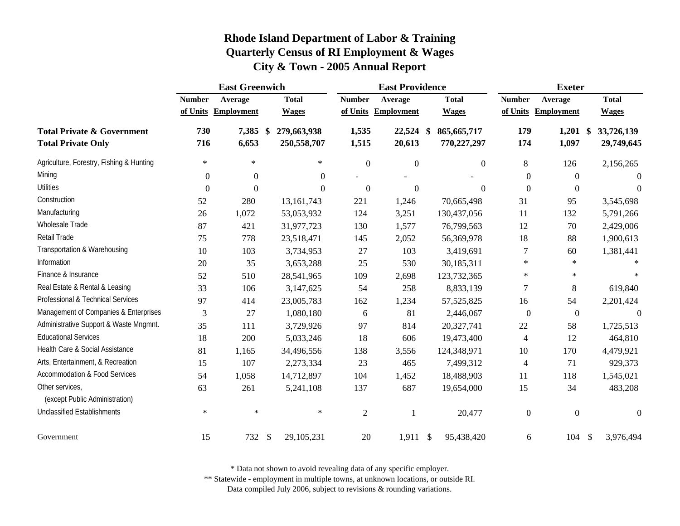|                                                                    | <b>East Greenwich</b> |                   |               |                            |                | <b>East Providence</b> |    | <b>Exeter</b>                |                  |                     |  |                          |
|--------------------------------------------------------------------|-----------------------|-------------------|---------------|----------------------------|----------------|------------------------|----|------------------------------|------------------|---------------------|--|--------------------------|
|                                                                    | <b>Number</b>         | Average           |               | <b>Total</b>               | <b>Number</b>  | Average                |    | <b>Total</b>                 | <b>Number</b>    | Average             |  | <b>Total</b>             |
|                                                                    | of Units              | <b>Employment</b> |               | <b>Wages</b>               |                | of Units Employment    |    | <b>Wages</b>                 | of Units         | <b>Employment</b>   |  | <b>Wages</b>             |
| <b>Total Private &amp; Government</b><br><b>Total Private Only</b> | 730<br>716            | 7,385 \$<br>6,653 |               | 279,663,938<br>250,558,707 | 1,535<br>1,515 | 22,524<br>20,613       | -S | 865, 665, 717<br>770,227,297 | 179<br>174       | $1,201$ \$<br>1,097 |  | 33,726,139<br>29,749,645 |
| Agriculture, Forestry, Fishing & Hunting                           | $\ast$                | $\ast$            |               | $\ast$                     | $\overline{0}$ | $\boldsymbol{0}$       |    | $\mathbf{0}$                 | 8                | 126                 |  | 2,156,265                |
| Mining                                                             | $\boldsymbol{0}$      | $\boldsymbol{0}$  |               | $\overline{0}$             |                |                        |    |                              | $\boldsymbol{0}$ | $\overline{0}$      |  | $\theta$                 |
| <b>Utilities</b>                                                   | $\boldsymbol{0}$      | $\boldsymbol{0}$  |               | $\boldsymbol{0}$           | $\overline{0}$ | $\overline{0}$         |    | $\mathbf{0}$                 | $\boldsymbol{0}$ | $\overline{0}$      |  | $\theta$                 |
| Construction                                                       | 52                    | 280               |               | 13, 161, 743               | 221            | 1,246                  |    | 70,665,498                   | 31               | 95                  |  | 3,545,698                |
| Manufacturing                                                      | 26                    | 1,072             |               | 53,053,932                 | 124            | 3,251                  |    | 130,437,056                  | 11               | 132                 |  | 5,791,266                |
| Wholesale Trade                                                    | 87                    | 421               |               | 31,977,723                 | 130            | 1,577                  |    | 76,799,563                   | 12               | 70                  |  | 2,429,006                |
| Retail Trade                                                       | 75                    | 778               |               | 23,518,471                 | 145            | 2,052                  |    | 56,369,978                   | 18               | 88                  |  | 1,900,613                |
| Transportation & Warehousing                                       | 10                    | 103               |               | 3,734,953                  | 27             | 103                    |    | 3,419,691                    | $\tau$           | 60                  |  | 1,381,441                |
| Information                                                        | 20                    | 35                |               | 3,653,288                  | 25             | 530                    |    | 30,185,311                   | $\ast$           | $\ast$              |  |                          |
| Finance & Insurance                                                | 52                    | 510               |               | 28,541,965                 | 109            | 2,698                  |    | 123,732,365                  | $\ast$           | $\ast$              |  | $\star$                  |
| Real Estate & Rental & Leasing                                     | 33                    | 106               |               | 3,147,625                  | 54             | 258                    |    | 8,833,139                    | 7                | $\,8\,$             |  | 619,840                  |
| Professional & Technical Services                                  | 97                    | 414               |               | 23,005,783                 | 162            | 1,234                  |    | 57, 525, 825                 | 16               | 54                  |  | 2,201,424                |
| Management of Companies & Enterprises                              | 3                     | 27                |               | 1,080,180                  | 6              | 81                     |    | 2,446,067                    | $\boldsymbol{0}$ | $\boldsymbol{0}$    |  | $\overline{0}$           |
| Administrative Support & Waste Mngmnt.                             | 35                    | 111               |               | 3,729,926                  | 97             | 814                    |    | 20,327,741                   | 22               | 58                  |  | 1,725,513                |
| <b>Educational Services</b>                                        | 18                    | 200               |               | 5,033,246                  | 18             | 606                    |    | 19,473,400                   | 4                | 12                  |  | 464,810                  |
| Health Care & Social Assistance                                    | 81                    | 1,165             |               | 34,496,556                 | 138            | 3,556                  |    | 124,348,971                  | 10               | 170                 |  | 4,479,921                |
| Arts, Entertainment, & Recreation                                  | 15                    | 107               |               | 2,273,334                  | 23             | 465                    |    | 7,499,312                    | 4                | 71                  |  | 929,373                  |
| <b>Accommodation &amp; Food Services</b>                           | 54                    | 1,058             |               | 14,712,897                 | 104            | 1,452                  |    | 18,488,903                   | 11               | 118                 |  | 1,545,021                |
| Other services,<br>(except Public Administration)                  | 63                    | 261               |               | 5,241,108                  | 137            | 687                    |    | 19,654,000                   | 15               | 34                  |  | 483,208                  |
| Unclassified Establishments                                        | $\ast$                | $\ast$            |               | $\ast$                     | $\overline{2}$ | $\mathbf{1}$           |    | 20,477                       | $\boldsymbol{0}$ | $\boldsymbol{0}$    |  | $\Omega$                 |
| Government                                                         | 15                    | 732               | $\mathcal{S}$ | 29, 105, 231               | 20             | $1,911$ \$             |    | 95,438,420                   | 6                | 104S                |  | 3,976,494                |

\* Data not shown to avoid revealing data of any specific employer.

\*\* Statewide - employment in multiple towns, at unknown locations, or outside RI.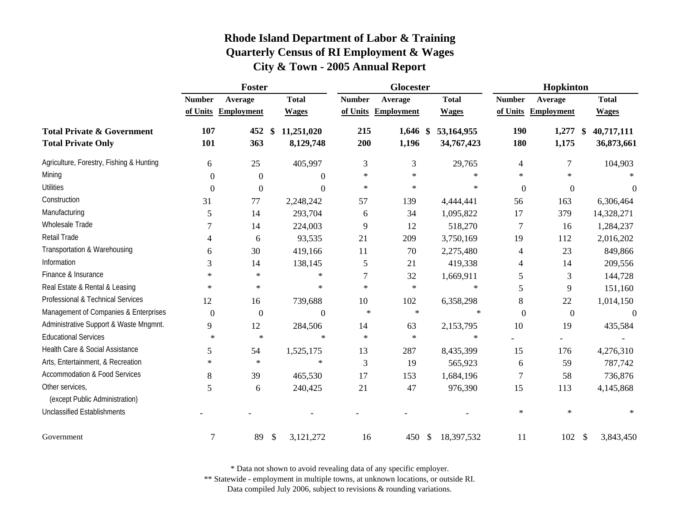|                                                                    |                  | <b>Foster</b>     |                               |               | Glocester            |                          | Hopkinton        |                     |                                        |  |
|--------------------------------------------------------------------|------------------|-------------------|-------------------------------|---------------|----------------------|--------------------------|------------------|---------------------|----------------------------------------|--|
|                                                                    | <b>Number</b>    | Average           | <b>Total</b>                  | <b>Number</b> | Average              | <b>Total</b>             | <b>Number</b>    | Average             | <b>Total</b>                           |  |
|                                                                    | of Units         | <b>Employment</b> | <b>Wages</b>                  |               | of Units Employment  | <b>Wages</b>             | of Units         | <b>Employment</b>   | <b>Wages</b>                           |  |
| <b>Total Private &amp; Government</b><br><b>Total Private Only</b> | 107<br>101       | 452<br>363        | \$<br>11,251,020<br>8,129,748 | 215<br>200    | $1,646$ \$<br>1,196  | 53,164,955<br>34,767,423 | 190<br>180       | $1,277$ \$<br>1,175 | 40,717,111<br>36,873,661               |  |
| Agriculture, Forestry, Fishing & Hunting                           | 6                | 25                | 405,997                       | 3             | 3                    | 29,765                   | 4                | 7                   | 104,903                                |  |
| Mining                                                             | $\Omega$         | $\theta$          | $\Omega$                      | *             | $\ast$               | $\ast$                   | $\ast$           | $\ast$              |                                        |  |
| <b>Utilities</b>                                                   | $\boldsymbol{0}$ | $\boldsymbol{0}$  | $\theta$                      | $\ast$        | $\ast$               | $\ast$                   | $\boldsymbol{0}$ | $\boldsymbol{0}$    | $\theta$                               |  |
| Construction                                                       | 31               | 77                | 2,248,242                     | 57            | 139                  | 4,444,441                | 56               | 163                 | 6,306,464                              |  |
| Manufacturing                                                      | 5                | 14                | 293,704                       | 6             | 34                   | 1,095,822                | 17               | 379                 | 14,328,271                             |  |
| Wholesale Trade                                                    | 7                | 14                | 224,003                       | 9             | 12                   | 518,270                  | 7                | 16                  | 1,284,237                              |  |
| Retail Trade                                                       | 4                | 6                 | 93,535                        | 21            | 209                  | 3,750,169                | 19               | 112                 | 2,016,202                              |  |
| Transportation & Warehousing                                       | 6                | 30                | 419,166                       | 11            | 70                   | 2,275,480                | 4                | 23                  | 849,866                                |  |
| Information                                                        | 3                | 14                | 138,145                       | 5             | 21                   | 419,338                  | 4                | 14                  | 209,556                                |  |
| Finance & Insurance                                                | $\ast$           | $\ast$            | $\ast$                        | 7             | 32                   | 1,669,911                | 5                | 3                   | 144,728                                |  |
| Real Estate & Rental & Leasing                                     | $\ast$           | $\ast$            | $\ast$                        | $\ast$        | $\ast$               | $\ast$                   | 5                | 9                   | 151,160                                |  |
| Professional & Technical Services                                  | 12               | 16                | 739,688                       | 10            | 102                  | 6,358,298                | 8                | 22                  | 1,014,150                              |  |
| Management of Companies & Enterprises                              | $\boldsymbol{0}$ | $\boldsymbol{0}$  | $\boldsymbol{0}$              | $\ast$        | $\ast$               | $\ast$                   | $\boldsymbol{0}$ | $\boldsymbol{0}$    | $\overline{0}$                         |  |
| Administrative Support & Waste Mngmnt.                             | 9                | 12                | 284,506                       | 14            | 63                   | 2,153,795                | 10               | 19                  | 435,584                                |  |
| <b>Educational Services</b>                                        | $\ast$           | $\ast$            | $\ast$                        | $\ast$        | $\ast$               | ∗                        |                  |                     |                                        |  |
| Health Care & Social Assistance                                    | 5                | 54                | 1,525,175                     | 13            | 287                  | 8,435,399                | 15               | 176                 | 4,276,310                              |  |
| Arts, Entertainment, & Recreation                                  | $\ast$           | $\ast$            | $\ast$                        | 3             | 19                   | 565,923                  | 6                | 59                  | 787,742                                |  |
| <b>Accommodation &amp; Food Services</b>                           | 8                | 39                | 465,530                       | 17            | 153                  | 1,684,196                | 7                | 58                  | 736,876                                |  |
| Other services,<br>(except Public Administration)                  | 5                | 6                 | 240,425                       | 21            | 47                   | 976,390                  | 15               | 113                 | 4,145,868                              |  |
| <b>Unclassified Establishments</b>                                 |                  |                   |                               |               |                      |                          | $\ast$           | $\ast$              |                                        |  |
| Government                                                         | $\overline{7}$   | 89                | \$<br>3,121,272               | 16            | 450<br>$\mathcal{S}$ | 18,397,532               | 11               | 102                 | $\boldsymbol{\mathsf{S}}$<br>3,843,450 |  |

\* Data not shown to avoid revealing data of any specific employer.

\*\* Statewide - employment in multiple towns, at unknown locations, or outside RI.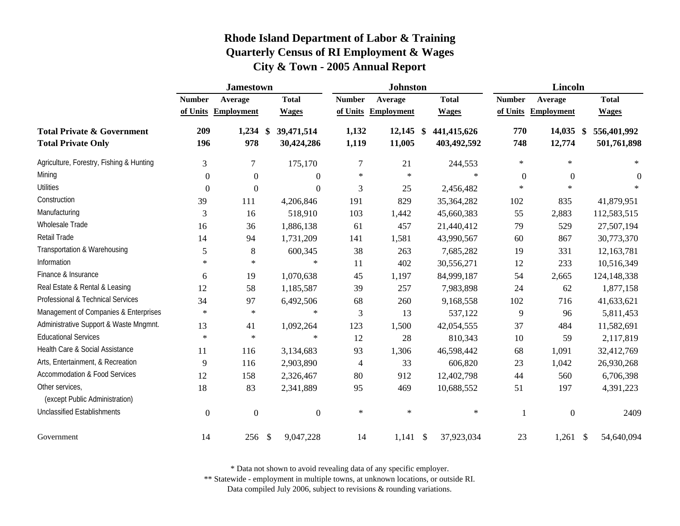|                                                                    |                  | <b>Jamestown</b>  |                          |                | <b>Johnston</b>     |                                                         | <b>Lincoln</b> |                   |                                             |  |
|--------------------------------------------------------------------|------------------|-------------------|--------------------------|----------------|---------------------|---------------------------------------------------------|----------------|-------------------|---------------------------------------------|--|
|                                                                    | <b>Number</b>    | Average           | <b>Total</b>             | <b>Number</b>  | Average             | <b>Total</b>                                            | <b>Number</b>  | Average           | <b>Total</b>                                |  |
|                                                                    | of Units         | <b>Employment</b> | <b>Wages</b>             |                | of Units Employment | <b>Wages</b>                                            | of Units       | <b>Employment</b> | <b>Wages</b>                                |  |
| <b>Total Private &amp; Government</b><br><b>Total Private Only</b> | 209<br>196       | $1,234$ \$<br>978 | 39,471,514<br>30,424,286 | 1,132<br>1,119 | 12,145<br>11,005    | $\boldsymbol{\mathsf{s}}$<br>441,415,626<br>403,492,592 | 770<br>748     | 14,035<br>12,774  | 556,401,992<br>$\mathbf{\$}$<br>501,761,898 |  |
| Agriculture, Forestry, Fishing & Hunting                           | 3                | 7                 | 175,170                  | 7              | 21                  | 244,553                                                 | $\ast$         | $\ast$            | $\ast$                                      |  |
| Mining                                                             | $\Omega$         | $\boldsymbol{0}$  | $\Omega$                 | $\ast$         | $\ast$              | $\ast$                                                  | $\overline{0}$ | $\overline{0}$    | $\theta$                                    |  |
| <b>Utilities</b>                                                   | $\theta$         | $\boldsymbol{0}$  | $\boldsymbol{0}$         | 3              | 25                  | 2,456,482                                               | $\ast$         | $\star$           |                                             |  |
| Construction                                                       | 39               | 111               | 4,206,846                | 191            | 829                 | 35,364,282                                              | 102            | 835               | 41,879,951                                  |  |
| Manufacturing                                                      | 3                | 16                | 518,910                  | 103            | 1,442               | 45,660,383                                              | 55             | 2,883             | 112,583,515                                 |  |
| Wholesale Trade                                                    | 16               | 36                | 1,886,138                | 61             | 457                 | 21,440,412                                              | 79             | 529               | 27,507,194                                  |  |
| Retail Trade                                                       | 14               | 94                | 1,731,209                | 141            | 1,581               | 43,990,567                                              | 60             | 867               | 30,773,370                                  |  |
| Transportation & Warehousing                                       | 5                | $\,8\,$           | 600,345                  | 38             | 263                 | 7,685,282                                               | 19             | 331               | 12,163,781                                  |  |
| Information                                                        | $\ast$           | $\ast$            | $\ast$                   | 11             | 402                 | 30,556,271                                              | 12             | 233               | 10,516,349                                  |  |
| Finance & Insurance                                                | 6                | 19                | 1,070,638                | 45             | 1,197               | 84,999,187                                              | 54             | 2,665             | 124,148,338                                 |  |
| Real Estate & Rental & Leasing                                     | 12               | 58                | 1,185,587                | 39             | 257                 | 7,983,898                                               | 24             | 62                | 1,877,158                                   |  |
| Professional & Technical Services                                  | 34               | 97                | 6,492,506                | 68             | 260                 | 9,168,558                                               | 102            | 716               | 41,633,621                                  |  |
| Management of Companies & Enterprises                              | $\ast$           | $\ast$            | $\ast$                   | 3              | 13                  | 537,122                                                 | 9              | 96                | 5,811,453                                   |  |
| Administrative Support & Waste Mngmnt.                             | 13               | 41                | 1,092,264                | 123            | 1,500               | 42,054,555                                              | 37             | 484               | 11,582,691                                  |  |
| <b>Educational Services</b>                                        | $\ast$           | $\ast$            | $\ast$                   | 12             | 28                  | 810,343                                                 | 10             | 59                | 2,117,819                                   |  |
| Health Care & Social Assistance                                    | 11               | 116               | 3,134,683                | 93             | 1,306               | 46,598,442                                              | 68             | 1,091             | 32,412,769                                  |  |
| Arts, Entertainment, & Recreation                                  | 9                | 116               | 2,903,890                | $\overline{4}$ | 33                  | 606,820                                                 | 23             | 1,042             | 26,930,268                                  |  |
| <b>Accommodation &amp; Food Services</b>                           | 12               | 158               | 2,326,467                | 80             | 912                 | 12,402,798                                              | 44             | 560               | 6,706,398                                   |  |
| Other services,<br>(except Public Administration)                  | 18               | 83                | 2,341,889                | 95             | 469                 | 10,688,552                                              | 51             | 197               | 4,391,223                                   |  |
| <b>Unclassified Establishments</b>                                 | $\boldsymbol{0}$ | $\mathbf{0}$      | $\boldsymbol{0}$         | $\ast$         | $\ast$              | $\ast$                                                  |                | $\overline{0}$    | 2409                                        |  |
| Government                                                         | 14               | 256               | \$<br>9,047,228          | 14             | $1,141$ \$          | 37,923,034                                              | 23             | 1,261             | 54,640,094<br><sup>\$</sup>                 |  |

\* Data not shown to avoid revealing data of any specific employer.

\*\* Statewide - employment in multiple towns, at unknown locations, or outside RI.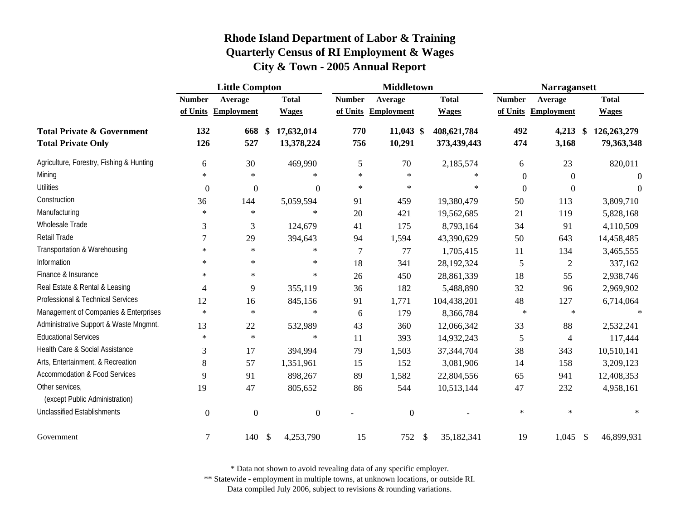|                                                                    | <b>Little Compton</b> |                   |                   |                          |               | <b>Middletown</b>     |     | <b>Narragansett</b>        |                |                     |               |                           |
|--------------------------------------------------------------------|-----------------------|-------------------|-------------------|--------------------------|---------------|-----------------------|-----|----------------------------|----------------|---------------------|---------------|---------------------------|
|                                                                    | <b>Number</b>         | Average           |                   | <b>Total</b>             | <b>Number</b> | Average               |     | <b>Total</b>               | <b>Number</b>  | Average             |               | <b>Total</b>              |
|                                                                    | of Units              | <b>Employment</b> |                   | <b>Wages</b>             | of Units      | <b>Employment</b>     |     | <b>Wages</b>               | of Units       | <b>Employment</b>   |               | <b>Wages</b>              |
| <b>Total Private &amp; Government</b><br><b>Total Private Only</b> | 132<br>126            | 668<br>527        | $\boldsymbol{\$}$ | 17,632,014<br>13,378,224 | 770<br>756    | $11,043$ \$<br>10,291 |     | 408,621,784<br>373,439,443 | 492<br>474     | $4,213$ \$<br>3,168 |               | 126,263,279<br>79,363,348 |
| Agriculture, Forestry, Fishing & Hunting                           | 6                     | 30                |                   | 469,990                  | 5             | 70                    |     | 2,185,574                  | 6              | 23                  |               | 820,011                   |
| Mining                                                             | $\ast$                | $\ast$            |                   | $\ast$                   | $\ast$        | $\ast$                |     | $\ast$                     | $\theta$       | $\overline{0}$      |               | $\boldsymbol{0}$          |
| <b>Utilities</b>                                                   | $\boldsymbol{0}$      | $\boldsymbol{0}$  |                   | $\boldsymbol{0}$         | $\ast$        | $\ast$                |     | $\ast$                     | $\overline{0}$ | $\mathbf{0}$        |               | $\Omega$                  |
| Construction                                                       | 36                    | 144               |                   | 5,059,594                | 91            | 459                   |     | 19,380,479                 | 50             | 113                 |               | 3,809,710                 |
| Manufacturing                                                      | $\ast$                | $\ast$            |                   | $\star$                  | 20            | 421                   |     | 19,562,685                 | 21             | 119                 |               | 5,828,168                 |
| Wholesale Trade                                                    | 3                     | 3                 |                   | 124,679                  | 41            | 175                   |     | 8,793,164                  | 34             | 91                  |               | 4,110,509                 |
| Retail Trade                                                       | 7                     | 29                |                   | 394,643                  | 94            | 1,594                 |     | 43,390,629                 | 50             | 643                 |               | 14,458,485                |
| Transportation & Warehousing                                       | $\ast$                | $\star$           |                   | $\star$                  | 7             | 77                    |     | 1,705,415                  | 11             | 134                 |               | 3,465,555                 |
| Information                                                        | $\ast$                | $\ast$            |                   | $\ast$                   | 18            | 341                   |     | 28,192,324                 | 5              | $\overline{2}$      |               | 337,162                   |
| Finance & Insurance                                                | $\ast$                | $\ast$            |                   | $\ast$                   | 26            | 450                   |     | 28,861,339                 | 18             | 55                  |               | 2,938,746                 |
| Real Estate & Rental & Leasing                                     | $\overline{4}$        | 9                 |                   | 355,119                  | 36            | 182                   |     | 5,488,890                  | 32             | 96                  |               | 2,969,902                 |
| Professional & Technical Services                                  | 12                    | 16                |                   | 845,156                  | 91            | 1,771                 |     | 104,438,201                | 48             | 127                 |               | 6,714,064                 |
| Management of Companies & Enterprises                              | $\ast$                | $\ast$            |                   | $\ast$                   | 6             | 179                   |     | 8,366,784                  | $\ast$         | $\ast$              |               | $\ast$                    |
| Administrative Support & Waste Mngmnt.                             | 13                    | 22                |                   | 532,989                  | 43            | 360                   |     | 12,066,342                 | 33             | 88                  |               | 2,532,241                 |
| <b>Educational Services</b>                                        | $\ast$                | $\ast$            |                   | $\ast$                   | 11            | 393                   |     | 14,932,243                 | 5              | $\overline{4}$      |               | 117,444                   |
| Health Care & Social Assistance                                    | 3                     | 17                |                   | 394,994                  | 79            | 1,503                 |     | 37,344,704                 | 38             | 343                 |               | 10,510,141                |
| Arts, Entertainment, & Recreation                                  | 8                     | 57                |                   | 1,351,961                | 15            | 152                   |     | 3,081,906                  | 14             | 158                 |               | 3,209,123                 |
| <b>Accommodation &amp; Food Services</b>                           | 9                     | 91                |                   | 898,267                  | 89            | 1,582                 |     | 22,804,556                 | 65             | 941                 |               | 12,408,353                |
| Other services,<br>(except Public Administration)                  | 19                    | 47                |                   | 805,652                  | 86            | 544                   |     | 10,513,144                 | 47             | 232                 |               | 4,958,161                 |
| <b>Unclassified Establishments</b>                                 | $\boldsymbol{0}$      | $\boldsymbol{0}$  |                   | $\boldsymbol{0}$         |               | $\boldsymbol{0}$      |     |                            | $\ast$         | $\ast$              |               | $\ast$                    |
| Government                                                         | 7                     | 140               | -\$               | 4,253,790                | 15            | 752                   | -\$ | 35,182,341                 | 19             | 1,045               | $\mathcal{S}$ | 46,899,931                |

\* Data not shown to avoid revealing data of any specific employer.

\*\* Statewide - employment in multiple towns, at unknown locations, or outside RI.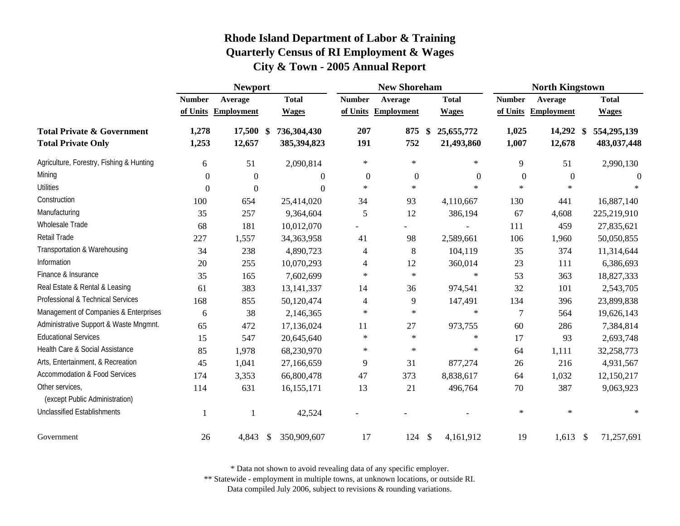|                                                                    |                | <b>Newport</b>      |                              |                          | <b>New Shoreham</b> |                                | <b>North Kingstown</b> |                     |                            |  |
|--------------------------------------------------------------------|----------------|---------------------|------------------------------|--------------------------|---------------------|--------------------------------|------------------------|---------------------|----------------------------|--|
|                                                                    | <b>Number</b>  | Average             | <b>Total</b>                 | <b>Number</b>            | Average             | <b>Total</b>                   | <b>Number</b>          | Average             | <b>Total</b>               |  |
|                                                                    |                | of Units Employment | <b>Wages</b>                 | of Units                 | <b>Employment</b>   | <b>Wages</b>                   | of Units               | <b>Employment</b>   | <b>Wages</b>               |  |
| <b>Total Private &amp; Government</b><br><b>Total Private Only</b> | 1,278<br>1,253 | 17,500 \$<br>12,657 | 736,304,430<br>385,394,823   | 207<br>191               | 875<br>752          | \$<br>25,655,772<br>21,493,860 | 1,025<br>1,007         | 14,292 \$<br>12,678 | 554,295,139<br>483,037,448 |  |
| Agriculture, Forestry, Fishing & Hunting                           | 6              | 51                  | 2,090,814                    | $\ast$                   | $\ast$              | $\ast$                         | 9                      | 51                  | 2,990,130                  |  |
| Mining                                                             | $\mathbf{0}$   | $\boldsymbol{0}$    | $\Omega$                     | $\boldsymbol{0}$         | $\overline{0}$      | $\boldsymbol{0}$               | $\mathbf{0}$           | $\boldsymbol{0}$    | $\Omega$                   |  |
| <b>Utilities</b>                                                   | $\theta$       | $\boldsymbol{0}$    | $\Omega$                     | $\ast$                   | $\ast$              | $\ast$                         | $\ast$                 | $\ast$              |                            |  |
| Construction                                                       | 100            | 654                 | 25,414,020                   | 34                       | 93                  | 4,110,667                      | 130                    | 441                 | 16,887,140                 |  |
| Manufacturing                                                      | 35             | 257                 | 9,364,604                    | 5                        | 12                  | 386,194                        | 67                     | 4,608               | 225,219,910                |  |
| Wholesale Trade                                                    | 68             | 181                 | 10,012,070                   |                          |                     |                                | 111                    | 459                 | 27,835,621                 |  |
| Retail Trade                                                       | 227            | 1,557               | 34, 363, 958                 | 41                       | 98                  | 2,589,661                      | 106                    | 1,960               | 50,050,855                 |  |
| Transportation & Warehousing                                       | 34             | 238                 | 4,890,723                    | $\overline{\mathcal{A}}$ | $\,8\,$             | 104,119                        | 35                     | 374                 | 11,314,644                 |  |
| Information                                                        | 20             | 255                 | 10,070,293                   | 4                        | 12                  | 360,014                        | 23                     | 111                 | 6,386,693                  |  |
| Finance & Insurance                                                | 35             | 165                 | 7,602,699                    | $\ast$                   | $\ast$              | $\ast$                         | 53                     | 363                 | 18,827,333                 |  |
| Real Estate & Rental & Leasing                                     | 61             | 383                 | 13, 141, 337                 | 14                       | 36                  | 974,541                        | 32                     | 101                 | 2,543,705                  |  |
| Professional & Technical Services                                  | 168            | 855                 | 50,120,474                   | 4                        | 9                   | 147,491                        | 134                    | 396                 | 23,899,838                 |  |
| Management of Companies & Enterprises                              | 6              | 38                  | 2,146,365                    | $\ast$                   | $\ast$              | $\ast$                         | $\overline{7}$         | 564                 | 19,626,143                 |  |
| Administrative Support & Waste Mngmnt.                             | 65             | 472                 | 17,136,024                   | 11                       | 27                  | 973,755                        | 60                     | 286                 | 7,384,814                  |  |
| <b>Educational Services</b>                                        | 15             | 547                 | 20,645,640                   | $\ast$                   | $\ast$              | $\ast$                         | 17                     | 93                  | 2,693,748                  |  |
| Health Care & Social Assistance                                    | 85             | 1,978               | 68,230,970                   | $\ast$                   | $\ast$              | ∗                              | 64                     | 1,111               | 32,258,773                 |  |
| Arts, Entertainment, & Recreation                                  | 45             | 1,041               | 27,166,659                   | $\overline{9}$           | 31                  | 877,274                        | 26                     | 216                 | 4,931,567                  |  |
| <b>Accommodation &amp; Food Services</b>                           | 174            | 3,353               | 66,800,478                   | 47                       | 373                 | 8,838,617                      | 64                     | 1,032               | 12,150,217                 |  |
| Other services,<br>(except Public Administration)                  | 114            | 631                 | 16,155,171                   | 13                       | 21                  | 496,764                        | 70                     | 387                 | 9,063,923                  |  |
| <b>Unclassified Establishments</b>                                 | -1             | -1                  | 42,524                       |                          |                     |                                | $\ast$                 | $\ast$              | $\ast$                     |  |
| Government                                                         | 26             | 4,843               | 350,909,607<br><sup>\$</sup> | 17                       | 124                 | $\mathcal{S}$<br>4,161,912     | 19                     | 1,613               | 71,257,691<br>-\$          |  |

\* Data not shown to avoid revealing data of any specific employer.

\*\* Statewide - employment in multiple towns, at unknown locations, or outside RI.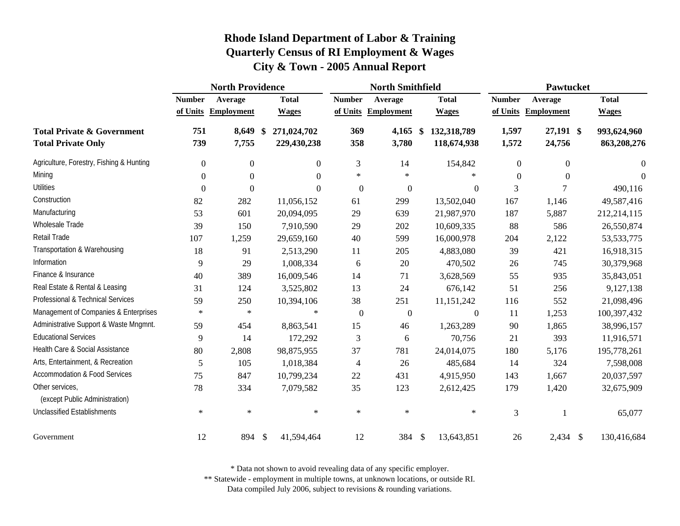|                                                                    |                  | <b>North Providence</b> |                                  |                | <b>North Smithfield</b> |                                  | Pawtucket        |                     |                            |  |
|--------------------------------------------------------------------|------------------|-------------------------|----------------------------------|----------------|-------------------------|----------------------------------|------------------|---------------------|----------------------------|--|
|                                                                    | <b>Number</b>    | Average                 | <b>Total</b>                     | <b>Number</b>  | Average                 | <b>Total</b>                     | <b>Number</b>    | Average             | <b>Total</b>               |  |
|                                                                    | of Units         | <b>Employment</b>       | <b>Wages</b>                     | of Units       | <b>Employment</b>       | <b>Wages</b>                     | of Units         | <b>Employment</b>   | <b>Wages</b>               |  |
| <b>Total Private &amp; Government</b><br><b>Total Private Only</b> | 751<br>739       | 8,649<br>7,755          | 271,024,702<br>\$<br>229,430,238 | 369<br>358     | 4,165<br>3,780          | 132,318,789<br>\$<br>118,674,938 | 1,597<br>1,572   | 27,191 \$<br>24,756 | 993,624,960<br>863,208,276 |  |
| Agriculture, Forestry, Fishing & Hunting                           | $\overline{0}$   | $\boldsymbol{0}$        | $\overline{0}$                   | 3              | 14                      | 154,842                          | $\boldsymbol{0}$ | $\overline{0}$      | $\boldsymbol{0}$           |  |
| Mining                                                             | $\Omega$         | $\Omega$                | $\Omega$                         | $\ast$         | $\ast$                  |                                  | $\Omega$         | $\Omega$            | $\theta$                   |  |
| Utilities                                                          | $\boldsymbol{0}$ | $\boldsymbol{0}$        | $\Omega$                         | $\overline{0}$ | $\boldsymbol{0}$        | $\Omega$                         | 3                | 7                   | 490,116                    |  |
| Construction                                                       | 82               | 282                     | 11,056,152                       | 61             | 299                     | 13,502,040                       | 167              | 1,146               | 49,587,416                 |  |
| Manufacturing                                                      | 53               | 601                     | 20,094,095                       | 29             | 639                     | 21,987,970                       | 187              | 5,887               | 212,214,115                |  |
| Wholesale Trade                                                    | 39               | 150                     | 7,910,590                        | 29             | 202                     | 10,609,335                       | 88               | 586                 | 26,550,874                 |  |
| Retail Trade                                                       | 107              | 1,259                   | 29,659,160                       | 40             | 599                     | 16,000,978                       | 204              | 2,122               | 53, 533, 775               |  |
| Transportation & Warehousing                                       | 18               | 91                      | 2,513,290                        | 11             | 205                     | 4,883,080                        | 39               | 421                 | 16,918,315                 |  |
| Information                                                        | 9                | 29                      | 1,008,334                        | 6              | 20                      | 470,502                          | 26               | 745                 | 30,379,968                 |  |
| Finance & Insurance                                                | 40               | 389                     | 16,009,546                       | 14             | 71                      | 3,628,569                        | 55               | 935                 | 35,843,051                 |  |
| Real Estate & Rental & Leasing                                     | 31               | 124                     | 3,525,802                        | 13             | 24                      | 676,142                          | 51               | 256                 | 9,127,138                  |  |
| Professional & Technical Services                                  | 59               | 250                     | 10,394,106                       | 38             | 251                     | 11,151,242                       | 116              | 552                 | 21,098,496                 |  |
| Management of Companies & Enterprises                              | $\ast$           | $\ast$                  | $\ast$                           | $\overline{0}$ | $\boldsymbol{0}$        | $\boldsymbol{0}$                 | 11               | 1,253               | 100,397,432                |  |
| Administrative Support & Waste Mngmnt.                             | 59               | 454                     | 8,863,541                        | 15             | 46                      | 1,263,289                        | 90               | 1,865               | 38,996,157                 |  |
| <b>Educational Services</b>                                        | 9                | 14                      | 172,292                          | 3              | 6                       | 70,756                           | 21               | 393                 | 11,916,571                 |  |
| Health Care & Social Assistance                                    | 80               | 2,808                   | 98,875,955                       | 37             | 781                     | 24,014,075                       | 180              | 5,176               | 195,778,261                |  |
| Arts, Entertainment, & Recreation                                  | $\sqrt{5}$       | 105                     | 1,018,384                        | $\overline{4}$ | 26                      | 485,684                          | 14               | 324                 | 7,598,008                  |  |
| <b>Accommodation &amp; Food Services</b>                           | 75               | 847                     | 10,799,234                       | 22             | 431                     | 4,915,950                        | 143              | 1,667               | 20,037,597                 |  |
| Other services,<br>(except Public Administration)                  | 78               | 334                     | 7,079,582                        | 35             | 123                     | 2,612,425                        | 179              | 1,420               | 32,675,909                 |  |
| <b>Unclassified Establishments</b>                                 | $\ast$           | $\ast$                  | $\ast$                           | $\ast$         | $\ast$                  | $\ast$                           | 3                | $\mathbf{1}$        | 65,077                     |  |
| Government                                                         | 12               | 894                     | $\mathcal{S}$<br>41,594,464      | 12             | 384                     | $\mathcal{S}$<br>13,643,851      | 26               | $2,434$ \$          | 130,416,684                |  |

\* Data not shown to avoid revealing data of any specific employer.

\*\* Statewide - employment in multiple towns, at unknown locations, or outside RI.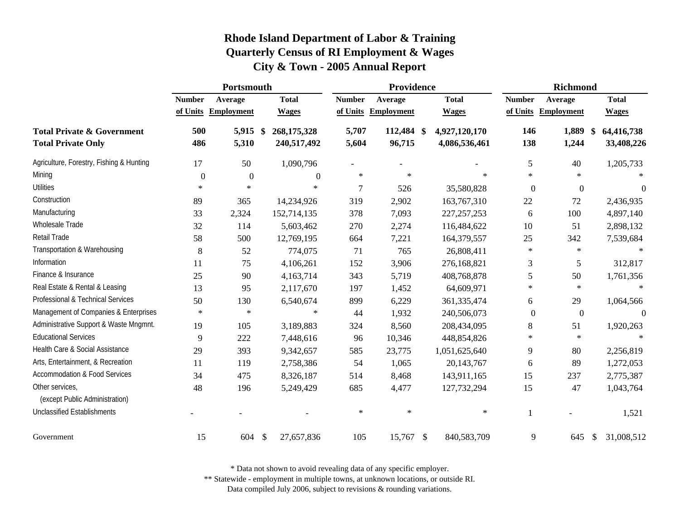|                                                                    |                  | Portsmouth        |                                             |                | Providence           |                                | <b>Richmond</b> |                     |                                |  |
|--------------------------------------------------------------------|------------------|-------------------|---------------------------------------------|----------------|----------------------|--------------------------------|-----------------|---------------------|--------------------------------|--|
|                                                                    | <b>Number</b>    | Average           | <b>Total</b>                                | <b>Number</b>  | Average              | <b>Total</b>                   | <b>Number</b>   | Average             | <b>Total</b>                   |  |
|                                                                    | of Units         | <b>Employment</b> | <b>Wages</b>                                | of Units       | <b>Employment</b>    | <b>Wages</b>                   |                 | of Units Employment | <b>Wages</b>                   |  |
| <b>Total Private &amp; Government</b><br><b>Total Private Only</b> | 500<br>486       | 5,915<br>5,310    | 268,175,328<br>$\mathbf{\$}$<br>240,517,492 | 5,707<br>5,604 | 112,484 \$<br>96,715 | 4,927,120,170<br>4,086,536,461 | 146<br>138      | 1,889<br>1,244      | 64,416,738<br>\$<br>33,408,226 |  |
| Agriculture, Forestry, Fishing & Hunting                           | 17               | 50                | 1,090,796                                   |                |                      |                                | 5               | 40                  | 1,205,733                      |  |
| Mining                                                             | $\boldsymbol{0}$ | $\boldsymbol{0}$  | $\theta$                                    | $\ast$         | $\ast$               | $\ast$                         | $\ast$          | $\ast$              |                                |  |
| <b>Utilities</b>                                                   | $\ast$           | $\ast$            | $\ast$                                      | $\overline{7}$ | 526                  | 35,580,828                     | $\mathbf{0}$    | $\boldsymbol{0}$    | $\theta$                       |  |
| Construction                                                       | 89               | 365               | 14,234,926                                  | 319            | 2,902                | 163,767,310                    | 22              | 72                  | 2,436,935                      |  |
| Manufacturing                                                      | 33               | 2,324             | 152,714,135                                 | 378            | 7,093                | 227, 257, 253                  | 6               | 100                 | 4,897,140                      |  |
| Wholesale Trade                                                    | 32               | 114               | 5,603,462                                   | 270            | 2,274                | 116,484,622                    | 10              | 51                  | 2,898,132                      |  |
| Retail Trade                                                       | 58               | 500               | 12,769,195                                  | 664            | 7,221                | 164,379,557                    | 25              | 342                 | 7,539,684                      |  |
| Transportation & Warehousing                                       | $\,8\,$          | 52                | 774,075                                     | 71             | 765                  | 26,808,411                     | $\ast$          | $\ast$              |                                |  |
| Information                                                        | 11               | 75                | 4,106,261                                   | 152            | 3,906                | 276,168,821                    | 3               | 5                   | 312,817                        |  |
| Finance & Insurance                                                | 25               | 90                | 4,163,714                                   | 343            | 5,719                | 408,768,878                    | 5               | 50                  | 1,761,356                      |  |
| Real Estate & Rental & Leasing                                     | 13               | 95                | 2,117,670                                   | 197            | 1,452                | 64,609,971                     | $\ast$          | $\star$             | $\ast$                         |  |
| Professional & Technical Services                                  | 50               | 130               | 6,540,674                                   | 899            | 6,229                | 361, 335, 474                  | 6               | 29                  | 1,064,566                      |  |
| Management of Companies & Enterprises                              | $\ast$           | $\ast$            | $\ast$                                      | 44             | 1,932                | 240,506,073                    | $\overline{0}$  | $\boldsymbol{0}$    | $\overline{0}$                 |  |
| Administrative Support & Waste Mngmnt.                             | 19               | 105               | 3,189,883                                   | 324            | 8,560                | 208,434,095                    | 8               | 51                  | 1,920,263                      |  |
| <b>Educational Services</b>                                        | 9                | 222               | 7,448,616                                   | 96             | 10,346               | 448,854,826                    | $\ast$          | $\ast$              |                                |  |
| Health Care & Social Assistance                                    | 29               | 393               | 9,342,657                                   | 585            | 23,775               | 1,051,625,640                  | 9               | 80                  | 2,256,819                      |  |
| Arts, Entertainment, & Recreation                                  | 11               | 119               | 2,758,386                                   | 54             | 1,065                | 20,143,767                     | 6               | 89                  | 1,272,053                      |  |
| <b>Accommodation &amp; Food Services</b>                           | 34               | 475               | 8,326,187                                   | 514            | 8,468                | 143,911,165                    | 15              | 237                 | 2,775,387                      |  |
| Other services,<br>(except Public Administration)                  | 48               | 196               | 5,249,429                                   | 685            | 4,477                | 127,732,294                    | 15              | 47                  | 1,043,764                      |  |
| <b>Unclassified Establishments</b>                                 |                  |                   |                                             | $\ast$         | $\ast$               | $\ast$                         |                 |                     | 1,521                          |  |
| Government                                                         | 15               | 604               | $\mathcal{S}$<br>27,657,836                 | 105            | 15,767               | 840,583,709<br>- \$            | 9               | 645                 | 31,008,512<br>\$               |  |

\* Data not shown to avoid revealing data of any specific employer.

\*\* Statewide - employment in multiple towns, at unknown locations, or outside RI.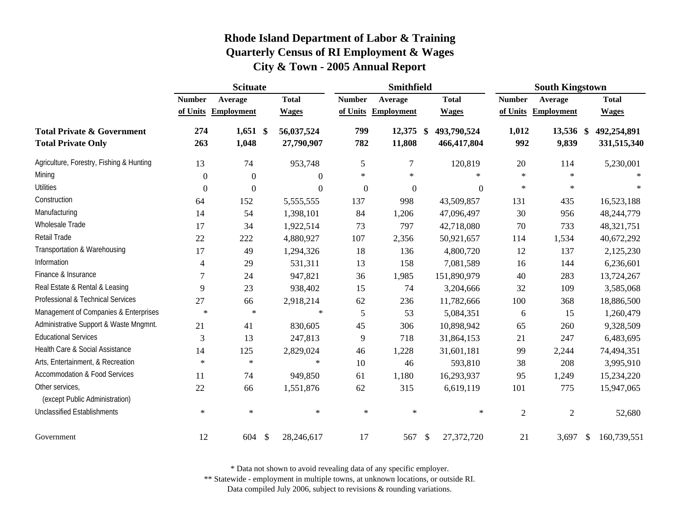|                                                                    | <b>Scituate</b>  |                     |    |                          | Smithfield       |                     |    |                            | <b>South Kingstown</b> |                    |    |                            |
|--------------------------------------------------------------------|------------------|---------------------|----|--------------------------|------------------|---------------------|----|----------------------------|------------------------|--------------------|----|----------------------------|
|                                                                    | <b>Number</b>    | Average             |    | <b>Total</b>             | <b>Number</b>    | Average             |    | <b>Total</b>               | <b>Number</b>          | Average            |    | <b>Total</b>               |
|                                                                    |                  | of Units Employment |    | <b>Wages</b>             |                  | of Units Employment |    | <b>Wages</b>               | of Units               | <b>Employment</b>  |    | <b>Wages</b>               |
| <b>Total Private &amp; Government</b><br><b>Total Private Only</b> | 274<br>263       | $1,651$ \$<br>1,048 |    | 56,037,524<br>27,790,907 | 799<br>782       | 12,375 \$<br>11,808 |    | 493,790,524<br>466,417,804 | 1,012<br>992           | 13,536 \$<br>9,839 |    | 492,254,891<br>331,515,340 |
| Agriculture, Forestry, Fishing & Hunting                           | 13               | 74                  |    | 953,748                  | 5                | 7                   |    | 120,819                    | 20                     | 114                |    | 5,230,001                  |
| Mining                                                             | $\boldsymbol{0}$ | $\boldsymbol{0}$    |    | $\theta$                 | $\ast$           | $\ast$              |    | $\ast$                     | $\ast$                 | $\ast$             |    |                            |
| <b>Utilities</b>                                                   | $\boldsymbol{0}$ | $\boldsymbol{0}$    |    | $\boldsymbol{0}$         | $\boldsymbol{0}$ | $\boldsymbol{0}$    |    | $\boldsymbol{0}$           | $\ast$                 | $\ast$             |    |                            |
| Construction                                                       | 64               | 152                 |    | 5,555,555                | 137              | 998                 |    | 43,509,857                 | 131                    | 435                |    | 16,523,188                 |
| Manufacturing                                                      | 14               | 54                  |    | 1,398,101                | 84               | 1,206               |    | 47,096,497                 | 30                     | 956                |    | 48,244,779                 |
| Wholesale Trade                                                    | 17               | 34                  |    | 1,922,514                | 73               | 797                 |    | 42,718,080                 | 70                     | 733                |    | 48,321,751                 |
| Retail Trade                                                       | 22               | 222                 |    | 4,880,927                | 107              | 2,356               |    | 50,921,657                 | 114                    | 1,534              |    | 40,672,292                 |
| Transportation & Warehousing                                       | 17               | 49                  |    | 1,294,326                | 18               | 136                 |    | 4,800,720                  | 12                     | 137                |    | 2,125,230                  |
| Information                                                        | 4                | 29                  |    | 531,311                  | 13               | 158                 |    | 7,081,589                  | 16                     | 144                |    | 6,236,601                  |
| Finance & Insurance                                                | $\overline{7}$   | 24                  |    | 947,821                  | 36               | 1,985               |    | 151,890,979                | 40                     | 283                |    | 13,724,267                 |
| Real Estate & Rental & Leasing                                     | 9                | 23                  |    | 938,402                  | 15               | 74                  |    | 3,204,666                  | 32                     | 109                |    | 3,585,068                  |
| Professional & Technical Services                                  | 27               | 66                  |    | 2,918,214                | 62               | 236                 |    | 11,782,666                 | 100                    | 368                |    | 18,886,500                 |
| Management of Companies & Enterprises                              | $\ast$           | $\ast$              |    | $\ast$                   | 5                | 53                  |    | 5,084,351                  | 6                      | 15                 |    | 1,260,479                  |
| Administrative Support & Waste Mngmnt.                             | 21               | 41                  |    | 830,605                  | 45               | 306                 |    | 10,898,942                 | 65                     | 260                |    | 9,328,509                  |
| <b>Educational Services</b>                                        | 3                | 13                  |    | 247,813                  | 9                | 718                 |    | 31,864,153                 | 21                     | 247                |    | 6,483,695                  |
| Health Care & Social Assistance                                    | 14               | 125                 |    | 2,829,024                | 46               | 1,228               |    | 31,601,181                 | 99                     | 2,244              |    | 74,494,351                 |
| Arts, Entertainment, & Recreation                                  | $\ast$           | $\ast$              |    | $\ast$                   | 10               | 46                  |    | 593,810                    | 38                     | 208                |    | 3,995,910                  |
| <b>Accommodation &amp; Food Services</b>                           | 11               | 74                  |    | 949,850                  | 61               | 1,180               |    | 16,293,937                 | 95                     | 1,249              |    | 15,234,220                 |
| Other services,<br>(except Public Administration)                  | 22               | 66                  |    | 1,551,876                | 62               | 315                 |    | 6,619,119                  | 101                    | 775                |    | 15,947,065                 |
| <b>Unclassified Establishments</b>                                 | $\ast$           | $\ast$              |    | $\ast$                   | $\ast$           | $\ast$              |    | $\ast$                     | $\overline{2}$         | $\mathfrak{2}$     |    | 52,680                     |
| Government                                                         | 12               | 604                 | \$ | 28,246,617               | 17               | 567                 | \$ | 27,372,720                 | 21                     | 3,697              | -S | 160,739,551                |

\* Data not shown to avoid revealing data of any specific employer.

\*\* Statewide - employment in multiple towns, at unknown locations, or outside RI.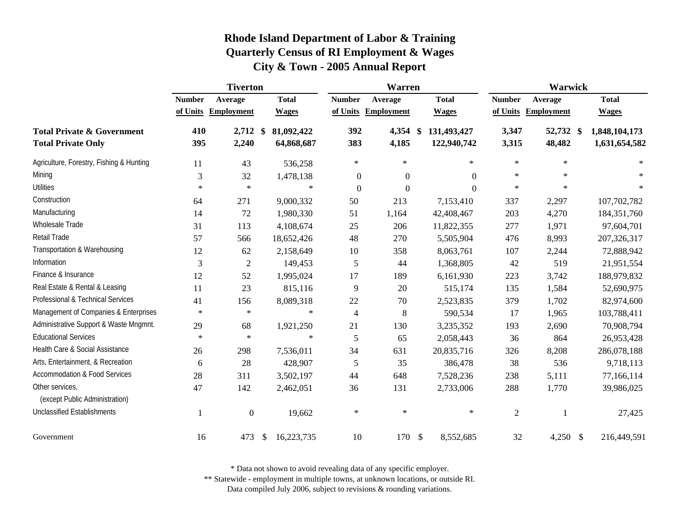|                                                                    |                | <b>Tiverton</b>     |                          |                  | <b>Warren</b>     |                                             | <b>Warwick</b> |                     |                                |  |
|--------------------------------------------------------------------|----------------|---------------------|--------------------------|------------------|-------------------|---------------------------------------------|----------------|---------------------|--------------------------------|--|
|                                                                    | <b>Number</b>  | Average             | <b>Total</b>             | <b>Number</b>    | Average           | <b>Total</b>                                | <b>Number</b>  | Average             | <b>Total</b>                   |  |
|                                                                    | of Units       | <b>Employment</b>   | <b>Wages</b>             | of Units         | <b>Employment</b> | <b>Wages</b>                                |                | of Units Employment | <b>Wages</b>                   |  |
| <b>Total Private &amp; Government</b><br><b>Total Private Only</b> | 410<br>395     | $2,712$ \$<br>2,240 | 81,092,422<br>64,868,687 | 392<br>383       | 4,354<br>4,185    | 131,493,427<br>$\mathbf{\$}$<br>122,940,742 | 3,347<br>3,315 | 52,732 \$<br>48,482 | 1,848,104,173<br>1,631,654,582 |  |
| Agriculture, Forestry, Fishing & Hunting                           | 11             | 43                  | 536,258                  | $\ast$           | $\ast$            | $\ast$                                      | $\ast$         | $\ast$              | $\ast$                         |  |
| Mining                                                             | 3              | 32                  | 1,478,138                | $\boldsymbol{0}$ | $\boldsymbol{0}$  | $\Omega$                                    | $\ast$         | $\ast$              |                                |  |
| <b>Utilities</b>                                                   | $\ast$         | $\ast$              | $\ast$                   | $\boldsymbol{0}$ | $\mathbf{0}$      | $\Omega$                                    | $\ast$         | $\ast$              |                                |  |
| Construction                                                       | 64             | 271                 | 9,000,332                | 50               | 213               | 7,153,410                                   | 337            | 2,297               | 107,702,782                    |  |
| Manufacturing                                                      | 14             | 72                  | 1,980,330                | 51               | 1,164             | 42,408,467                                  | 203            | 4,270               | 184, 351, 760                  |  |
| Wholesale Trade                                                    | 31             | 113                 | 4,108,674                | 25               | 206               | 11,822,355                                  | 277            | 1,971               | 97,604,701                     |  |
| Retail Trade                                                       | 57             | 566                 | 18,652,426               | 48               | 270               | 5,505,904                                   | 476            | 8,993               | 207,326,317                    |  |
| Transportation & Warehousing                                       | 12             | 62                  | 2,158,649                | 10               | 358               | 8,063,761                                   | 107            | 2,244               | 72,888,942                     |  |
| Information                                                        | $\mathfrak{Z}$ | $\mathfrak{2}$      | 149,453                  | 5                | 44                | 1,368,805                                   | 42             | 519                 | 21,951,554                     |  |
| Finance & Insurance                                                | 12             | 52                  | 1,995,024                | 17               | 189               | 6,161,930                                   | 223            | 3,742               | 188,979,832                    |  |
| Real Estate & Rental & Leasing                                     | 11             | 23                  | 815,116                  | 9                | 20                | 515,174                                     | 135            | 1,584               | 52,690,975                     |  |
| Professional & Technical Services                                  | 41             | 156                 | 8,089,318                | $22\,$           | 70                | 2,523,835                                   | 379            | 1,702               | 82,974,600                     |  |
| Management of Companies & Enterprises                              | $\ast$         | $\ast$              | $\ast$                   | $\overline{4}$   | 8                 | 590,534                                     | 17             | 1,965               | 103,788,411                    |  |
| Administrative Support & Waste Mngmnt.                             | 29             | 68                  | 1,921,250                | 21               | 130               | 3,235,352                                   | 193            | 2,690               | 70,908,794                     |  |
| <b>Educational Services</b>                                        | $\ast$         | $\ast$              | $\star$                  | 5                | 65                | 2,058,443                                   | 36             | 864                 | 26,953,428                     |  |
| Health Care & Social Assistance                                    | 26             | 298                 | 7,536,011                | 34               | 631               | 20,835,716                                  | 326            | 8,208               | 286,078,188                    |  |
| Arts, Entertainment, & Recreation                                  | 6              | 28                  | 428,907                  | $\sqrt{5}$       | 35                | 386,478                                     | 38             | 536                 | 9,718,113                      |  |
| <b>Accommodation &amp; Food Services</b>                           | 28             | 311                 | 3,502,197                | 44               | 648               | 7,528,236                                   | 238            | 5,111               | 77,166,114                     |  |
| Other services,<br>(except Public Administration)                  | 47             | 142                 | 2,462,051                | 36               | 131               | 2,733,006                                   | 288            | 1,770               | 39,986,025                     |  |
| <b>Unclassified Establishments</b>                                 | 1              | $\overline{0}$      | 19,662                   | $\ast$           | $\ast$            | $\ast$                                      | $\overline{2}$ | $\overline{1}$      | 27,425                         |  |
| Government                                                         | 16             | 473                 | 16,223,735<br>\$         | 10               | 170               | $\boldsymbol{\mathsf{S}}$<br>8,552,685      | 32             | 4,250 $\frac{1}{2}$ | 216,449,591                    |  |

\* Data not shown to avoid revealing data of any specific employer.

\*\* Statewide - employment in multiple towns, at unknown locations, or outside RI.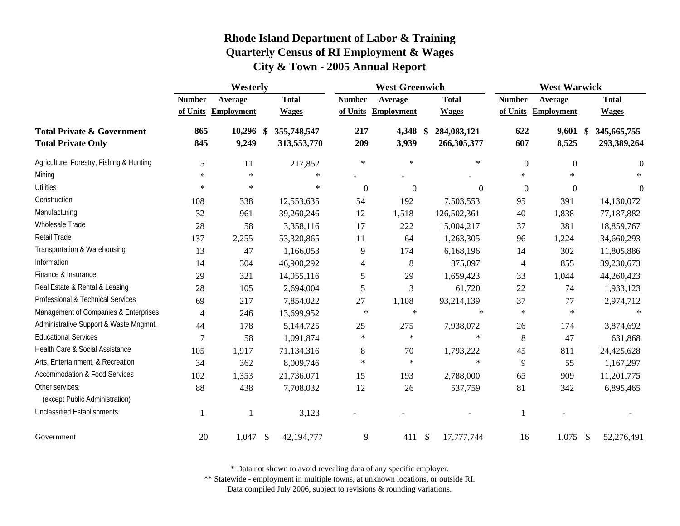|                                                                    | Westerly                  |                              |                              |                           | <b>West Greenwich</b>        |                              | <b>West Warwick</b>       |                              |                                  |  |
|--------------------------------------------------------------------|---------------------------|------------------------------|------------------------------|---------------------------|------------------------------|------------------------------|---------------------------|------------------------------|----------------------------------|--|
|                                                                    | <b>Number</b><br>of Units | Average<br><b>Employment</b> | <b>Total</b><br><b>Wages</b> | <b>Number</b><br>of Units | Average<br><b>Employment</b> | <b>Total</b><br><b>Wages</b> | <b>Number</b><br>of Units | Average<br><b>Employment</b> | <b>Total</b><br><b>Wages</b>     |  |
| <b>Total Private &amp; Government</b><br><b>Total Private Only</b> | 865<br>845                | $10,296$ \$<br>9,249         | 355,748,547<br>313,553,770   | 217<br>209                | 4,348 \$<br>3,939            | 284,083,121<br>266,305,377   | 622<br>607                | 9,601<br>8,525               | 345,665,755<br>\$<br>293,389,264 |  |
| Agriculture, Forestry, Fishing & Hunting                           | 5                         | 11                           | 217,852                      | $\ast$                    | $\ast$                       | $\ast$                       | $\boldsymbol{0}$          | $\boldsymbol{0}$             | $\boldsymbol{0}$                 |  |
| Mining                                                             | $\ast$                    | $\ast$                       | $\ast$                       |                           |                              |                              | $\ast$                    | $\star$                      |                                  |  |
| <b>Utilities</b>                                                   | $\ast$                    | $\ast$                       | $\ast$                       | $\boldsymbol{0}$          | $\boldsymbol{0}$             | $\theta$                     | $\overline{0}$            | $\boldsymbol{0}$             | $\theta$                         |  |
| Construction                                                       | 108                       | 338                          | 12,553,635                   | 54                        | 192                          | 7,503,553                    | 95                        | 391                          | 14,130,072                       |  |
| Manufacturing                                                      | 32                        | 961                          | 39,260,246                   | 12                        | 1,518                        | 126,502,361                  | 40                        | 1,838                        | 77,187,882                       |  |
| Wholesale Trade                                                    | 28                        | 58                           | 3,358,116                    | 17                        | 222                          | 15,004,217                   | 37                        | 381                          | 18,859,767                       |  |
| Retail Trade                                                       | 137                       | 2,255                        | 53,320,865                   | 11                        | 64                           | 1,263,305                    | 96                        | 1,224                        | 34,660,293                       |  |
| Transportation & Warehousing                                       | 13                        | 47                           | 1,166,053                    | 9                         | 174                          | 6,168,196                    | 14                        | 302                          | 11,805,886                       |  |
| Information                                                        | 14                        | 304                          | 46,900,292                   | $\overline{\mathcal{A}}$  | 8                            | 375,097                      | $\overline{4}$            | 855                          | 39,230,673                       |  |
| Finance & Insurance                                                | 29                        | 321                          | 14,055,116                   | 5                         | 29                           | 1,659,423                    | 33                        | 1,044                        | 44,260,423                       |  |
| Real Estate & Rental & Leasing                                     | 28                        | 105                          | 2,694,004                    | 5                         | 3                            | 61,720                       | 22                        | 74                           | 1,933,123                        |  |
| Professional & Technical Services                                  | 69                        | 217                          | 7,854,022                    | 27                        | 1,108                        | 93,214,139                   | 37                        | 77                           | 2,974,712                        |  |
| Management of Companies & Enterprises                              | $\overline{4}$            | 246                          | 13,699,952                   | $\ast$                    | $\ast$                       | $\ast$                       | $\ast$                    | $\ast$                       | $\ast$                           |  |
| Administrative Support & Waste Mngmnt.                             | 44                        | 178                          | 5,144,725                    | 25                        | 275                          | 7,938,072                    | 26                        | 174                          | 3,874,692                        |  |
| <b>Educational Services</b>                                        | 7                         | 58                           | 1,091,874                    | $\ast$                    | $\ast$                       | $\ast$                       | 8                         | 47                           | 631,868                          |  |
| Health Care & Social Assistance                                    | 105                       | 1,917                        | 71,134,316                   | $8\,$                     | 70                           | 1,793,222                    | 45                        | 811                          | 24,425,628                       |  |
| Arts, Entertainment, & Recreation                                  | 34                        | 362                          | 8,009,746                    | $\ast$                    | $\ast$                       | $\ast$                       | 9                         | 55                           | 1,167,297                        |  |
| <b>Accommodation &amp; Food Services</b>                           | 102                       | 1,353                        | 21,736,071                   | 15                        | 193                          | 2,788,000                    | 65                        | 909                          | 11,201,775                       |  |
| Other services,<br>(except Public Administration)                  | 88                        | 438                          | 7,708,032                    | 12                        | 26                           | 537,759                      | 81                        | 342                          | 6,895,465                        |  |
| <b>Unclassified Establishments</b>                                 | $\mathbf{1}$              |                              | 3,123                        |                           |                              |                              | -1                        |                              |                                  |  |
| Government                                                         | 20                        | 1,047                        | $\mathcal{S}$<br>42,194,777  | 9                         | 411                          | 17,777,744<br>\$             | 16                        | $1,075$ \$                   | 52,276,491                       |  |

\* Data not shown to avoid revealing data of any specific employer.

\*\* Statewide - employment in multiple towns, at unknown locations, or outside RI.